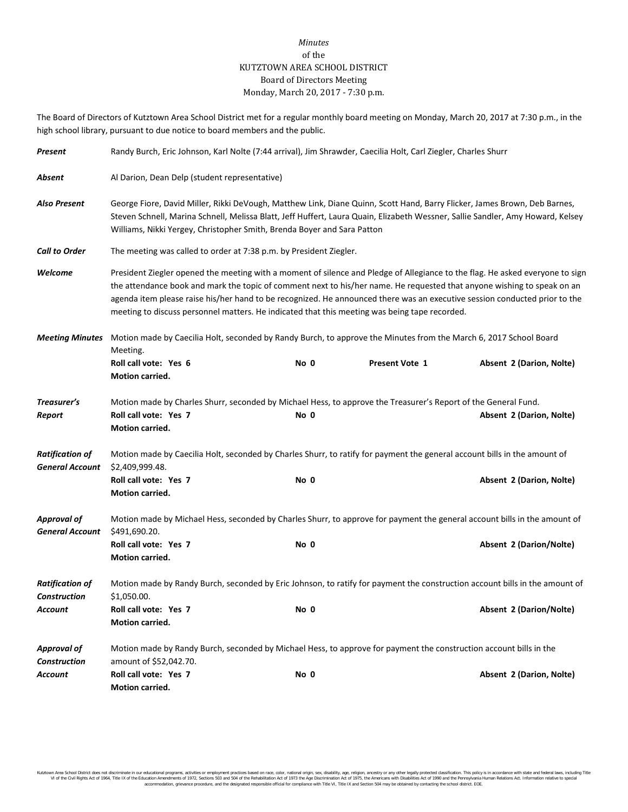## *Minutes* of the KUTZTOWN AREA SCHOOL DISTRICT Board of Directors Meeting Monday, March 20, 2017 - 7:30 p.m.

The Board of Directors of Kutztown Area School District met for a regular monthly board meeting on Monday, March 20, 2017 at 7:30 p.m., in the high school library, pursuant to due notice to board members and the public.

| Present                                          | Randy Burch, Eric Johnson, Karl Nolte (7:44 arrival), Jim Shrawder, Caecilia Holt, Carl Ziegler, Charles Shurr                                                                                                                                                                                                                                                                                                                                                                          |                                                                                                                        |                       |                          |  |  |  |  |
|--------------------------------------------------|-----------------------------------------------------------------------------------------------------------------------------------------------------------------------------------------------------------------------------------------------------------------------------------------------------------------------------------------------------------------------------------------------------------------------------------------------------------------------------------------|------------------------------------------------------------------------------------------------------------------------|-----------------------|--------------------------|--|--|--|--|
| Absent                                           | Al Darion, Dean Delp (student representative)                                                                                                                                                                                                                                                                                                                                                                                                                                           |                                                                                                                        |                       |                          |  |  |  |  |
| <b>Also Present</b>                              | George Fiore, David Miller, Rikki DeVough, Matthew Link, Diane Quinn, Scott Hand, Barry Flicker, James Brown, Deb Barnes,<br>Steven Schnell, Marina Schnell, Melissa Blatt, Jeff Huffert, Laura Quain, Elizabeth Wessner, Sallie Sandler, Amy Howard, Kelsey<br>Williams, Nikki Yergey, Christopher Smith, Brenda Boyer and Sara Patton                                                                                                                                                 |                                                                                                                        |                       |                          |  |  |  |  |
| <b>Call to Order</b>                             | The meeting was called to order at 7:38 p.m. by President Ziegler.                                                                                                                                                                                                                                                                                                                                                                                                                      |                                                                                                                        |                       |                          |  |  |  |  |
| Welcome                                          | President Ziegler opened the meeting with a moment of silence and Pledge of Allegiance to the flag. He asked everyone to sign<br>the attendance book and mark the topic of comment next to his/her name. He requested that anyone wishing to speak on an<br>agenda item please raise his/her hand to be recognized. He announced there was an executive session conducted prior to the<br>meeting to discuss personnel matters. He indicated that this meeting was being tape recorded. |                                                                                                                        |                       |                          |  |  |  |  |
| <b>Meeting Minutes</b>                           | Motion made by Caecilia Holt, seconded by Randy Burch, to approve the Minutes from the March 6, 2017 School Board<br>Meeting.                                                                                                                                                                                                                                                                                                                                                           |                                                                                                                        |                       |                          |  |  |  |  |
|                                                  | Roll call vote: Yes 6<br>Motion carried.                                                                                                                                                                                                                                                                                                                                                                                                                                                | No 0                                                                                                                   | <b>Present Vote 1</b> | Absent 2 (Darion, Nolte) |  |  |  |  |
| Treasurer's<br>Report                            | Roll call vote: Yes 7<br>Motion carried.                                                                                                                                                                                                                                                                                                                                                                                                                                                | Motion made by Charles Shurr, seconded by Michael Hess, to approve the Treasurer's Report of the General Fund.<br>No 0 |                       | Absent 2 (Darion, Nolte) |  |  |  |  |
| <b>Ratification of</b><br><b>General Account</b> | Motion made by Caecilia Holt, seconded by Charles Shurr, to ratify for payment the general account bills in the amount of<br>\$2,409,999.48.                                                                                                                                                                                                                                                                                                                                            |                                                                                                                        |                       |                          |  |  |  |  |
|                                                  | Roll call vote: Yes 7<br>Motion carried.                                                                                                                                                                                                                                                                                                                                                                                                                                                | No 0                                                                                                                   |                       | Absent 2 (Darion, Nolte) |  |  |  |  |
| <b>Approval of</b><br><b>General Account</b>     | Motion made by Michael Hess, seconded by Charles Shurr, to approve for payment the general account bills in the amount of<br>\$491,690.20.                                                                                                                                                                                                                                                                                                                                              |                                                                                                                        |                       |                          |  |  |  |  |
|                                                  | Roll call vote: Yes 7<br>Motion carried.                                                                                                                                                                                                                                                                                                                                                                                                                                                | No 0                                                                                                                   |                       | Absent 2 (Darion/Nolte)  |  |  |  |  |
| <b>Ratification of</b><br><b>Construction</b>    | Motion made by Randy Burch, seconded by Eric Johnson, to ratify for payment the construction account bills in the amount of<br>\$1,050.00.                                                                                                                                                                                                                                                                                                                                              |                                                                                                                        |                       |                          |  |  |  |  |
| Account                                          | Roll call vote: Yes 7<br>Motion carried.                                                                                                                                                                                                                                                                                                                                                                                                                                                | No 0                                                                                                                   |                       | Absent 2 (Darion/Nolte)  |  |  |  |  |
| <b>Approval of</b><br><b>Construction</b>        | Motion made by Randy Burch, seconded by Michael Hess, to approve for payment the construction account bills in the<br>amount of \$52,042.70.                                                                                                                                                                                                                                                                                                                                            |                                                                                                                        |                       |                          |  |  |  |  |
| Account                                          | Roll call vote: Yes 7<br>Motion carried.                                                                                                                                                                                                                                                                                                                                                                                                                                                | No 0                                                                                                                   |                       | Absent 2 (Darion, Nolte) |  |  |  |  |

Kutzown Area School District does not discriminate in our oducational programs, activities or employment practices based on ractional origin, sex, disability, so, et also in the about any secure in the season is a series a accommodation, grievance procedure, and the designated responsible official for compliance with Title VI, Title IX and Section 504 may be obtained by contacting the school district. EOE.